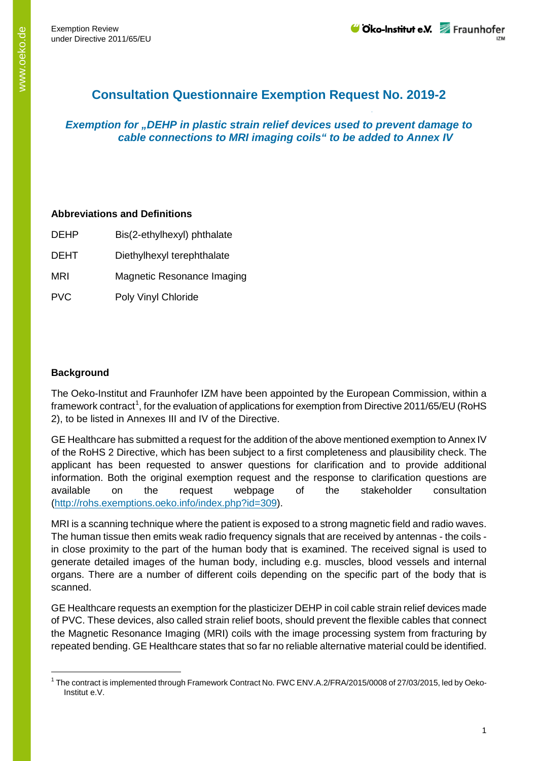# **Consultation Questionnaire Exemption Request No. 2019-2**

## *Exemption for "DEHP in plastic strain relief devices used to prevent damage to cable connections to MRI imaging coils" to be added to Annex IV*

#### **Abbreviations and Definitions**

| <b>DEHP</b> | Bis(2-ethylhexyl) phthalate |
|-------------|-----------------------------|
| <b>DEHT</b> | Diethylhexyl terephthalate  |
| MRI         | Magnetic Resonance Imaging  |
| <b>PVC</b>  | Poly Vinyl Chloride         |

### **Background**

The Oeko-Institut and Fraunhofer IZM have been appointed by the European Commission, within a framework contract<sup>[1](#page-0-0)</sup>, for the evaluation of applications for exemption from Directive 2011/65/EU (RoHS 2), to be listed in Annexes III and IV of the Directive.

GE Healthcare has submitted a request for the addition of the above mentioned exemption to Annex IV of the RoHS 2 Directive, which has been subject to a first completeness and plausibility check. The applicant has been requested to answer questions for clarification and to provide additional information. Both the original exemption request and the response to clarification questions are available on the request webpage of the stakeholder consultation [\(http://rohs.exemptions.oeko.info/index.php?id=309](http://rohs.exemptions.oeko.info/index.php?id=309)).

MRI is a scanning technique where the patient is exposed to a strong magnetic field and radio waves. The human tissue then emits weak radio frequency signals that are received by antennas - the coils in close proximity to the part of the human body that is examined. The received signal is used to generate detailed images of the human body, including e.g. muscles, blood vessels and internal organs. There are a number of different coils depending on the specific part of the body that is scanned.

GE Healthcare requests an exemption for the plasticizer DEHP in coil cable strain relief devices made of PVC. These devices, also called strain relief boots, should prevent the flexible cables that connect the Magnetic Resonance Imaging (MRI) coils with the image processing system from fracturing by repeated bending. GE Healthcare states that so far no reliable alternative material could be identified.

<span id="page-0-0"></span><sup>&</sup>lt;sup>1</sup> The contract is implemented through Framework Contract No. FWC ENV.A.2/FRA/2015/0008 of 27/03/2015, led by Oeko-Institut e.V.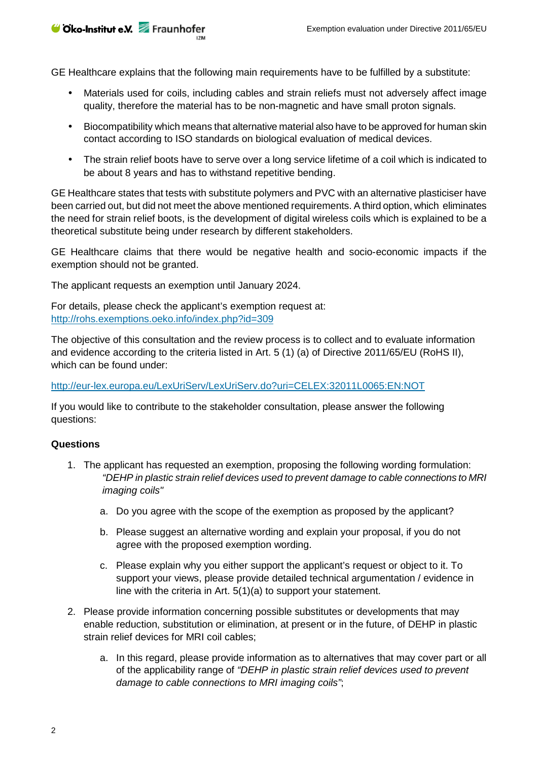**⊎ Oko-Institut e.V.** Fraunhofer

GE Healthcare explains that the following main requirements have to be fulfilled by a substitute:

- Materials used for coils, including cables and strain reliefs must not adversely affect image quality, therefore the material has to be non-magnetic and have small proton signals.
- Biocompatibility which means that alternative material also have to be approved for human skin contact according to ISO standards on biological evaluation of medical devices.
- The strain relief boots have to serve over a long service lifetime of a coil which is indicated to be about 8 years and has to withstand repetitive bending.

GE Healthcare states that tests with substitute polymers and PVC with an alternative plasticiser have been carried out, but did not meet the above mentioned requirements. A third option, which eliminates the need for strain relief boots, is the development of digital wireless coils which is explained to be a theoretical substitute being under research by different stakeholders.

GE Healthcare claims that there would be negative health and socio-economic impacts if the exemption should not be granted.

The applicant requests an exemption until January 2024.

For details, please check the applicant's exemption request at: <http://rohs.exemptions.oeko.info/index.php?id=309>

The objective of this consultation and the review process is to collect and to evaluate information and evidence according to the criteria listed in Art. 5 (1) (a) of Directive 2011/65/EU (RoHS II), which can be found under:

<http://eur-lex.europa.eu/LexUriServ/LexUriServ.do?uri=CELEX:32011L0065:EN:NOT>

If you would like to contribute to the stakeholder consultation, please answer the following questions:

#### **Questions**

- 1. The applicant has requested an exemption, proposing the following wording formulation: *"DEHP in plastic strain relief devices used to prevent damage to cable connections to MRI imaging coils"*
	- a. Do you agree with the scope of the exemption as proposed by the applicant?
	- b. Please suggest an alternative wording and explain your proposal, if you do not agree with the proposed exemption wording.
	- c. Please explain why you either support the applicant's request or object to it. To support your views, please provide detailed technical argumentation / evidence in line with the criteria in Art. 5(1)(a) to support your statement.
- 2. Please provide information concerning possible substitutes or developments that may enable reduction, substitution or elimination, at present or in the future, of DEHP in plastic strain relief devices for MRI coil cables;
	- a. In this regard, please provide information as to alternatives that may cover part or all of the applicability range of *"DEHP in plastic strain relief devices used to prevent damage to cable connections to MRI imaging coils"*;